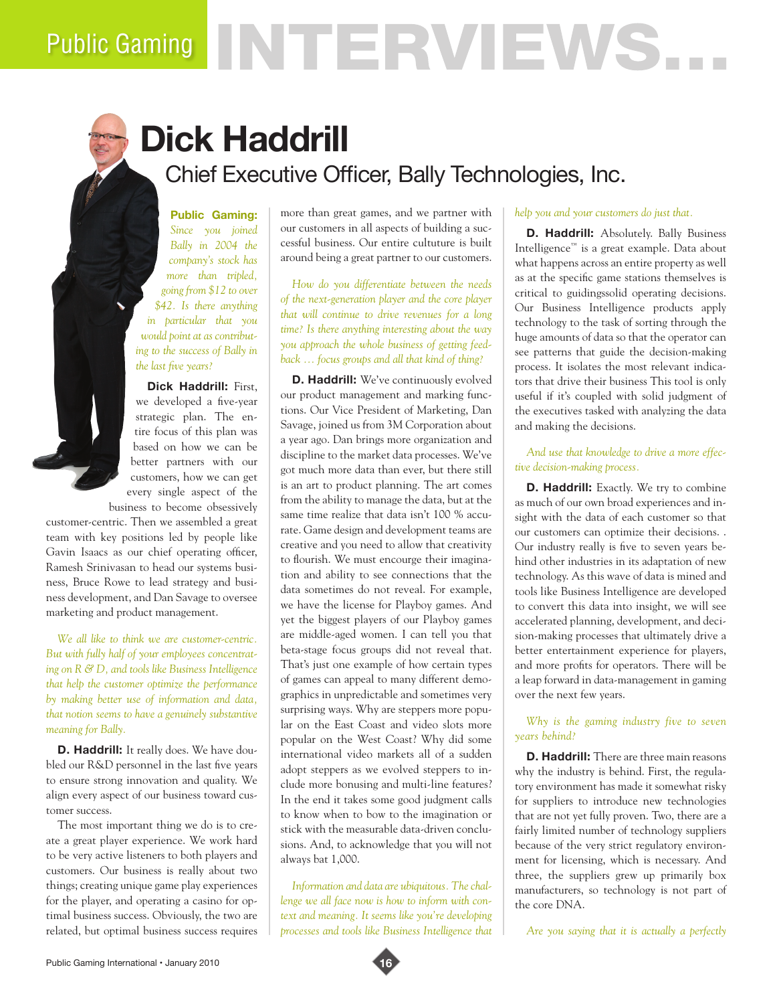# Public Gaming NTERVIEWS.

## **Dick Haddrill** Chief Executive Officer, Bally Technologies, Inc.

**Public Gaming:**  *Since you joined Bally in 2004 the company's stock has more than tripled, going from \$12 to over \$42. Is there anything in particular that you would point at as contributing to the success of Bally in the last five years?*

**Dick Haddrill:** First, we developed a five-year strategic plan. The entire focus of this plan was based on how we can be better partners with our customers, how we can get every single aspect of the

business to become obsessively customer-centric. Then we assembled a great team with key positions led by people like Gavin Isaacs as our chief operating officer, Ramesh Srinivasan to head our systems business, Bruce Rowe to lead strategy and business development, and Dan Savage to oversee

marketing and product management.

*We all like to think we are customer-centric. But with fully half of your employees concentrating on R & D, and tools like Business Intelligence that help the customer optimize the performance by making better use of information and data, that notion seems to have a genuinely substantive meaning for Bally.* 

**D. Haddrill:** It really does. We have doubled our R&D personnel in the last five years to ensure strong innovation and quality. We align every aspect of our business toward customer success.

The most important thing we do is to create a great player experience. We work hard to be very active listeners to both players and customers. Our business is really about two things; creating unique game play experiences for the player, and operating a casino for optimal business success. Obviously, the two are related, but optimal business success requires

more than great games, and we partner with our customers in all aspects of building a successful business. Our entire cultuture is built around being a great partner to our customers.

*How do you differentiate between the needs of the next-generation player and the core player that will continue to drive revenues for a long time? Is there anything interesting about the way you approach the whole business of getting feedback … focus groups and all that kind of thing?*

**D. Haddrill:** We've continuously evolved our product management and marking functions. Our Vice President of Marketing, Dan Savage, joined us from 3M Corporation about a year ago. Dan brings more organization and discipline to the market data processes. We've got much more data than ever, but there still is an art to product planning. The art comes from the ability to manage the data, but at the same time realize that data isn't 100 % accurate. Game design and development teams are creative and you need to allow that creativity to flourish. We must encourge their imagination and ability to see connections that the data sometimes do not reveal. For example, we have the license for Playboy games. And yet the biggest players of our Playboy games are middle-aged women. I can tell you that beta-stage focus groups did not reveal that. That's just one example of how certain types of games can appeal to many different demographics in unpredictable and sometimes very surprising ways. Why are steppers more popular on the East Coast and video slots more popular on the West Coast? Why did some international video markets all of a sudden adopt steppers as we evolved steppers to include more bonusing and multi-line features? In the end it takes some good judgment calls to know when to bow to the imagination or stick with the measurable data-driven conclusions. And, to acknowledge that you will not always bat 1,000.

*Information and data are ubiquitous. The challenge we all face now is how to inform with context and meaning. It seems like you're developing processes and tools like Business Intelligence that* 

#### *help you and your customers do just that.*

**D. Haddrill:** Absolutely. Bally Business Intelligence™ is a great example. Data about what happens across an entire property as well as at the specific game stations themselves is critical to guidingssolid operating decisions. Our Business Intelligence products apply technology to the task of sorting through the huge amounts of data so that the operator can see patterns that guide the decision-making process. It isolates the most relevant indicators that drive their business This tool is only useful if it's coupled with solid judgment of the executives tasked with analyzing the data and making the decisions.

*And use that knowledge to drive a more effective decision-making process.* 

**D. Haddrill:** Exactly. We try to combine as much of our own broad experiences and insight with the data of each customer so that our customers can optimize their decisions. . Our industry really is five to seven years behind other industries in its adaptation of new technology. As this wave of data is mined and tools like Business Intelligence are developed to convert this data into insight, we will see accelerated planning, development, and decision-making processes that ultimately drive a better entertainment experience for players, and more profits for operators. There will be a leap forward in data-management in gaming over the next few years.

*Why is the gaming industry five to seven years behind?*

**D. Haddrill:** There are three main reasons why the industry is behind. First, the regulatory environment has made it somewhat risky for suppliers to introduce new technologies that are not yet fully proven. Two, there are a fairly limited number of technology suppliers because of the very strict regulatory environment for licensing, which is necessary. And three, the suppliers grew up primarily box manufacturers, so technology is not part of the core DNA.

*Are you saying that it is actually a perfectly* 

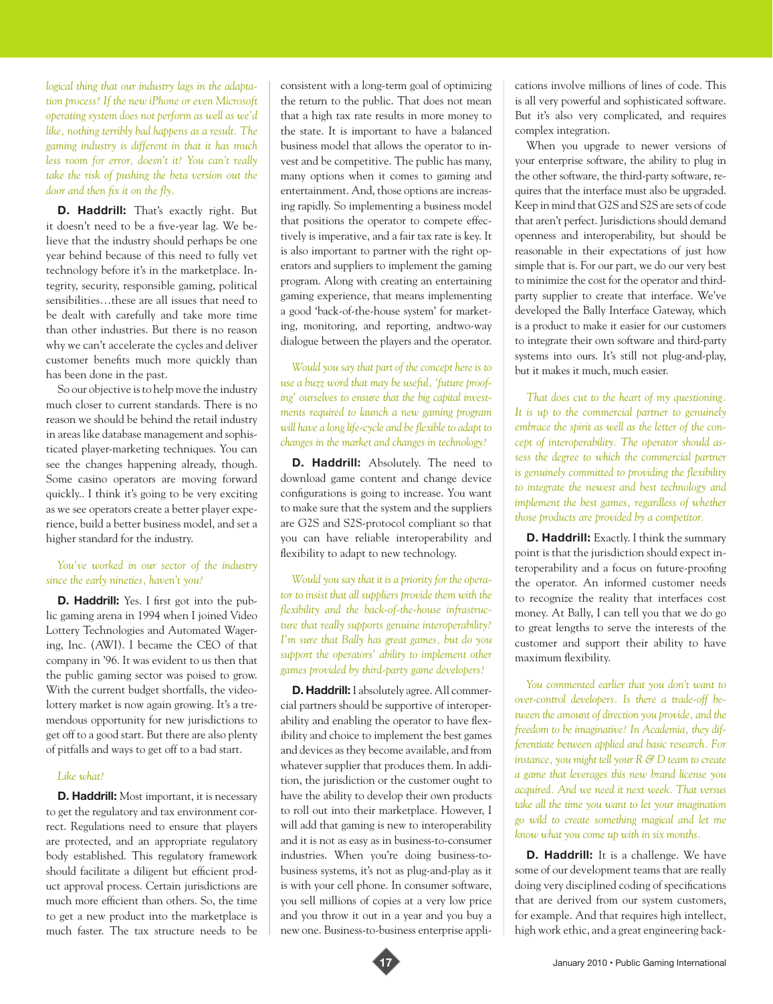*logical thing that our industry lags in the adaptation process? If the new iPhone or even Microsoft operating system does not perform as well as we'd like, nothing terribly bad happens as a result. The gaming industry is different in that it has much less room for error, doesn't it? You can't really take the risk of pushing the beta version out the door and then fix it on the fly.* 

**D. Haddrill:** That's exactly right. But it doesn't need to be a five-year lag. We believe that the industry should perhaps be one year behind because of this need to fully vet technology before it's in the marketplace. Integrity, security, responsible gaming, political sensibilities…these are all issues that need to be dealt with carefully and take more time than other industries. But there is no reason why we can't accelerate the cycles and deliver customer benefits much more quickly than has been done in the past.

So our objective is to help move the industry much closer to current standards. There is no reason we should be behind the retail industry in areas like database management and sophisticated player-marketing techniques. You can see the changes happening already, though. Some casino operators are moving forward quickly.. I think it's going to be very exciting as we see operators create a better player experience, build a better business model, and set a higher standard for the industry.

#### *You've worked in our sector of the industry since the early nineties, haven't you?*

**D. Haddrill:** Yes. I first got into the public gaming arena in 1994 when I joined Video Lottery Technologies and Automated Wagering, Inc. (AWI). I became the CEO of that company in '96. It was evident to us then that the public gaming sector was poised to grow. With the current budget shortfalls, the videolottery market is now again growing. It's a tremendous opportunity for new jurisdictions to get off to a good start. But there are also plenty of pitfalls and ways to get off to a bad start.

#### *Like what?*

**D. Haddrill:** Most important, it is necessary to get the regulatory and tax environment correct. Regulations need to ensure that players are protected, and an appropriate regulatory body established. This regulatory framework should facilitate a diligent but efficient product approval process. Certain jurisdictions are much more efficient than others. So, the time to get a new product into the marketplace is much faster. The tax structure needs to be consistent with a long-term goal of optimizing the return to the public. That does not mean that a high tax rate results in more money to the state. It is important to have a balanced business model that allows the operator to invest and be competitive. The public has many, many options when it comes to gaming and entertainment. And, those options are increasing rapidly. So implementing a business model that positions the operator to compete effectively is imperative, and a fair tax rate is key. It is also important to partner with the right operators and suppliers to implement the gaming program. Along with creating an entertaining gaming experience, that means implementing a good 'back-of-the-house system' for marketing, monitoring, and reporting, andtwo-way dialogue between the players and the operator.

*Would you say that part of the concept here is to use a buzz word that may be useful, 'future proofing' ourselves to ensure that the big capital investments required to launch a new gaming program will have a long life-cycle and be flexible to adapt to changes in the market and changes in technology?* 

**D. Haddrill:** Absolutely. The need to download game content and change device configurations is going to increase. You want to make sure that the system and the suppliers are G2S and S2S-protocol compliant so that you can have reliable interoperability and flexibility to adapt to new technology.

*Would you say that it is a priority for the operator to insist that all suppliers provide them with the flexibility and the back-of-the-house infrastructure that really supports genuine interoperability? I'm sure that Bally has great games, but do you support the operators' ability to implement other games provided by third-party game developers?* 

**D. Haddrill:** I absolutely agree. All commercial partners should be supportive of interoperability and enabling the operator to have flexibility and choice to implement the best games and devices as they become available, and from whatever supplier that produces them. In addition, the jurisdiction or the customer ought to have the ability to develop their own products to roll out into their marketplace. However, I will add that gaming is new to interoperability and it is not as easy as in business-to-consumer industries. When you're doing business-tobusiness systems, it's not as plug-and-play as it is with your cell phone. In consumer software, you sell millions of copies at a very low price and you throw it out in a year and you buy a new one. Business-to-business enterprise applications involve millions of lines of code. This is all very powerful and sophisticated software. But it's also very complicated, and requires complex integration.

When you upgrade to newer versions of your enterprise software, the ability to plug in the other software, the third-party software, requires that the interface must also be upgraded. Keep in mind that G2S and S2S are sets of code that aren't perfect. Jurisdictions should demand openness and interoperability, but should be reasonable in their expectations of just how simple that is. For our part, we do our very best to minimize the cost for the operator and thirdparty supplier to create that interface. We've developed the Bally Interface Gateway, which is a product to make it easier for our customers to integrate their own software and third-party systems into ours. It's still not plug-and-play, but it makes it much, much easier.

*That does cut to the heart of my questioning. It is up to the commercial partner to genuinely embrace the spirit as well as the letter of the concept of interoperability. The operator should assess the degree to which the commercial partner is genuinely committed to providing the flexibility to integrate the newest and best technology and implement the best games, regardless of whether those products are provided by a competitor.* 

**D. Haddrill:** Exactly. I think the summary point is that the jurisdiction should expect interoperability and a focus on future-proofing the operator. An informed customer needs to recognize the reality that interfaces cost money. At Bally, I can tell you that we do go to great lengths to serve the interests of the customer and support their ability to have maximum flexibility.

*You commented earlier that you don't want to over-control developers. Is there a trade-off between the amount of direction you provide, and the freedom to be imaginative? In Academia, they differentiate between applied and basic research. For instance, you might tell your R & D team to create a game that leverages this new brand license you acquired. And we need it next week. That versus take all the time you want to let your imagination go wild to create something magical and let me know what you come up with in six months.* 

**D. Haddrill:** It is a challenge. We have some of our development teams that are really doing very disciplined coding of specifications that are derived from our system customers, for example. And that requires high intellect, high work ethic, and a great engineering back-